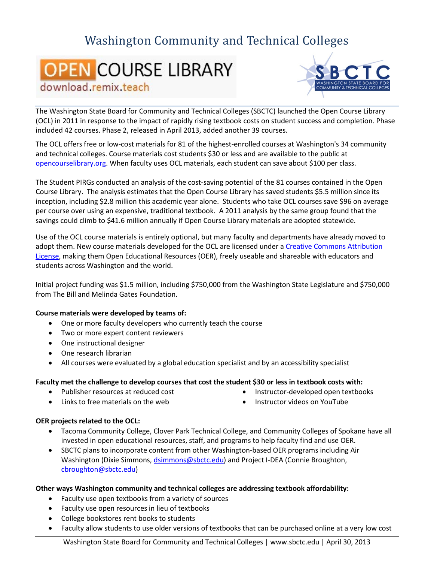## Washington Community and Technical Colleges

# **OPEN COURSE LIBRARY** download, remix, teach



The Washington State Board for Community and Technical Colleges (SBCTC) launched the Open Course Library (OCL) in 2011 in response to the impact of rapidly rising textbook costs on student success and completion. Phase included 42 courses. Phase 2, released in April 2013, added another 39 courses.

The OCL offers free or low-cost materials for 81 of the highest-enrolled courses at Washington's 34 community and technical colleges. Course materials cost students \$30 or less and are available to the public at [opencourselibrary.org.](http://opencourselibrary.org/) When faculty uses OCL materials, each student can save about \$100 per class.

The Student PIRGs conducted an analysis of the cost-saving potential of the 81 courses contained in the Open Course Library. The analysis estimates that the Open Course Library has saved students \$5.5 million since its inception, including \$2.8 million this academic year alone. Students who take OCL courses save \$96 on average per course over using an expensive, traditional textbook. A 2011 analysis by the same group found that the savings could climb to \$41.6 million annually if Open Course Library materials are adopted statewide.

Use of the OCL course materials is entirely optional, but many faculty and departments have already moved to adopt them. New course materials developed for the OCL are licensed under a [Creative Commons Attribution](http://creativecommons.org/licenses/by/3.0/deed.en_US)  [License,](http://creativecommons.org/licenses/by/3.0/deed.en_US) making them Open Educational Resources (OER), freely useable and shareable with educators and students across Washington and the world.

Initial project funding was \$1.5 million, including \$750,000 from the Washington State Legislature and \$750,000 from The Bill and Melinda Gates Foundation.

#### **Course materials were developed by teams of:**

- One or more faculty developers who currently teach the course
- Two or more expert content reviewers
- One instructional designer
- One research librarian
- All courses were evaluated by a global education specialist and by an accessibility specialist

#### **Faculty met the challenge to develop courses that cost the student \$30 or less in textbook costs with:**

• Publisher resources at reduced cost

• Instructor-developed open textbooks

• Links to free materials on the web

• Instructor videos on YouTube

### **OER projects related to the OCL:**

- Tacoma Community College, Clover Park Technical College, and Community Colleges of Spokane have all invested in open educational resources, staff, and programs to help faculty find and use OER.
- SBCTC plans to incorporate content from other Washington-based OER programs including Air Washington (Dixie Simmons, [dsimmons@sbctc.edu\)](mailto:dsimmons@sbctc.edu) and Project I-DEA (Connie Broughton, [cbroughton@sbctc.edu\)](mailto:cbroughton@sbctc.edu)

#### **Other ways Washington community and technical colleges are addressing textbook affordability:**

- Faculty use open textbooks from a variety of sources
- Faculty use open resources in lieu of textbooks
- College bookstores rent books to students
- Faculty allow students to use older versions of textbooks that can be purchased online at a very low cost